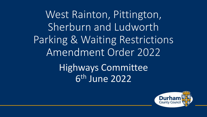West Rainton, Pittington, Sherburn and Ludworth Parking & Waiting Restrictions Amendment Order 2022 Highways Committee 6 th June 2022

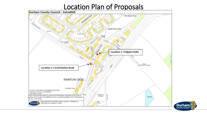# **Location Plan of Proposals**



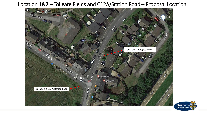Location 1&2 – Tollgate Fields and C12A/Station Road – Proposal Location



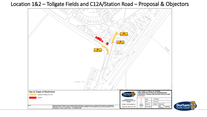### Location 1&2 – Tollgate Fields and C12A/Station Road – Proposal & Objectors



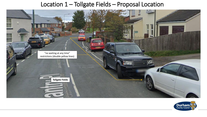## Location 1 – Tollgate Fields – Proposal Location



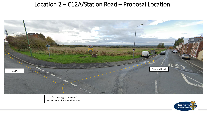## Location 2 – C12A/Station Road – Proposal Location



"no waiting at any time" restrictions (double yellow lines)

![](_page_5_Picture_3.jpeg)